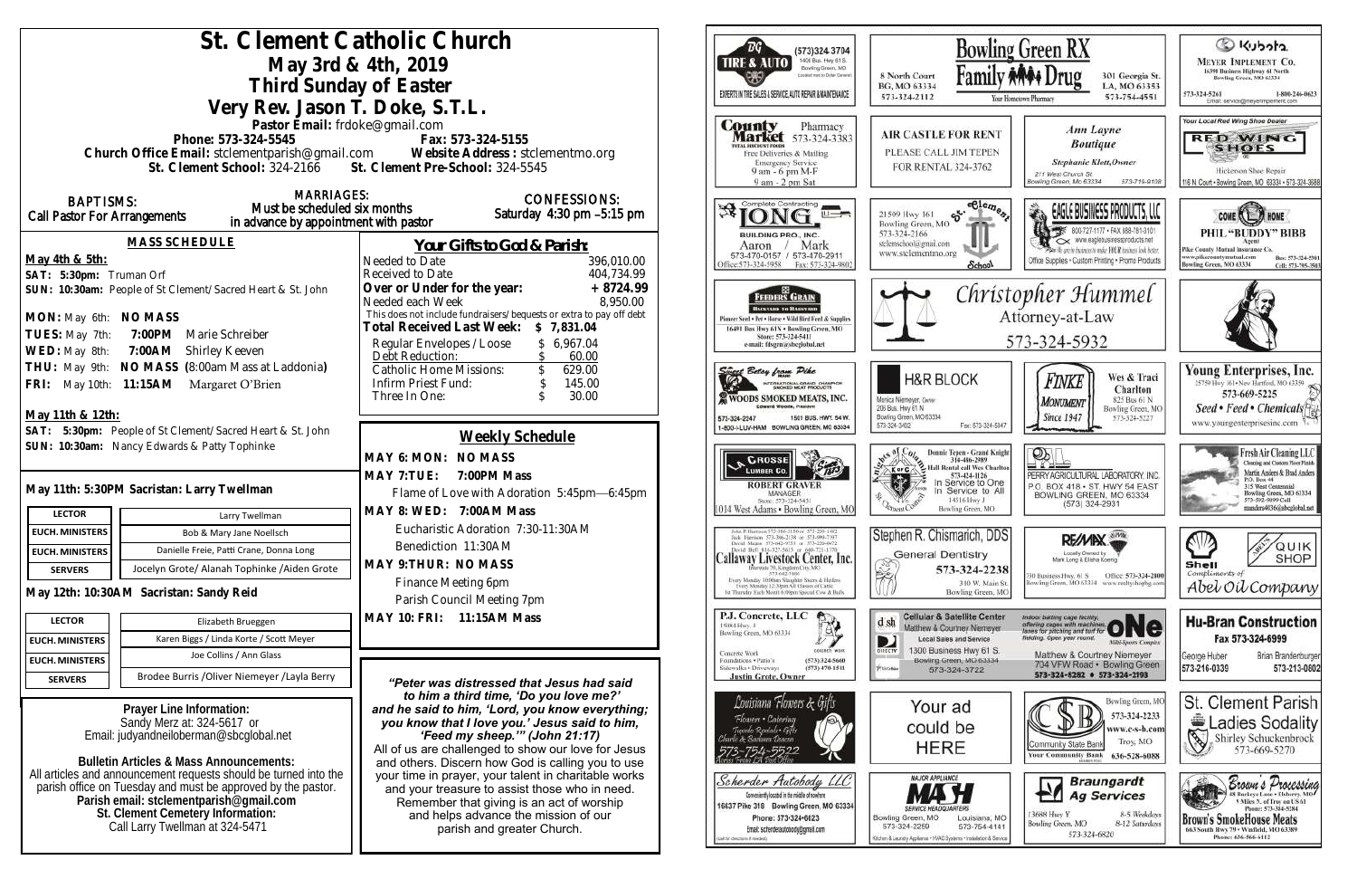| St. Clement Catholic Church                                                                                                                                |                                                                                                        | Bowlit                                                                                                                                               |                                                                              |
|------------------------------------------------------------------------------------------------------------------------------------------------------------|--------------------------------------------------------------------------------------------------------|------------------------------------------------------------------------------------------------------------------------------------------------------|------------------------------------------------------------------------------|
| May 3rd & 4th, 2019                                                                                                                                        | (573)324 3704<br>1400 Busi. Hwy 61 S.<br><b>TIRE &amp; AUTO</b><br>Bowling Green, MO                   |                                                                                                                                                      |                                                                              |
|                                                                                                                                                            | ocalist next to Dollar Generals                                                                        | Family<br>8 North Court<br>BG, MO 63334                                                                                                              |                                                                              |
| Third Sunday of Easter<br>EXPERTS IN THE SALES & SERVICE, AUTO REPAIR & MAINTENANCE                                                                        |                                                                                                        |                                                                                                                                                      | 573-324-2112<br>Your                                                         |
| Very Rev. Jason T. Doke, S.T.L.                                                                                                                            |                                                                                                        |                                                                                                                                                      |                                                                              |
| Pastor Email: frdoke@gmail.com<br><b>County</b><br>Pharmacy<br><b>Market</b> 573-324-3383                                                                  |                                                                                                        |                                                                                                                                                      | <b>AIR CASTLE FOR RENT</b>                                                   |
| Phone: 573-324-5545<br>Fax: 573-324-5155<br><b>DTAL DISCOUNT FOOD!</b><br>Church Office Email: stclementparish@gmail.com Website Address : stclementmo.org |                                                                                                        |                                                                                                                                                      | PLEASE CALL JIM TEPEN                                                        |
| Free Deliveries & Mailing<br><b>Emergency Service</b><br>St. Clement School: 324-2166 St. Clement Pre-School: 324-5545<br>9 am - 6 pm M-F                  |                                                                                                        |                                                                                                                                                      |                                                                              |
|                                                                                                                                                            |                                                                                                        | 9 am - 2 pm Sat                                                                                                                                      |                                                                              |
| <b>MARRIAGES:</b><br><b>BAPTISMS:</b><br>Must be scheduled six months                                                                                      | <b>CONFESSIONS:</b>                                                                                    | Complete Contracting                                                                                                                                 | celeme                                                                       |
| Call Pastor For Arrangements<br>in advance by appointment with pastor                                                                                      | Saturday 4:30 pm -5:15 pm                                                                              | $\mathbb{R}^1$<br>世一六                                                                                                                                | $\mathfrak{S}^{\cdot}$<br>21509 Hwy 161<br>Bowling Green, MO                 |
| <b>MASS SCHEDULE</b>                                                                                                                                       |                                                                                                        | <b>BUILDING PRO., INC.</b>                                                                                                                           | 573-324-2166<br>stelemschool@gmail.com                                       |
| May 4th & 5th:                                                                                                                                             | <u>Your Gifts to God &amp; Parish:</u><br>Needed to Date<br>396,010.00                                 | Mark<br>Aaron<br>573-470-0157 / 573-470-2911                                                                                                         | www.stelementmo.org                                                          |
| SAT: 5:30pm: Truman Orf                                                                                                                                    | 404,734.99<br>Received to Date                                                                         | Office: 573-324-5958<br>Fax: 573-324-9802                                                                                                            | School.                                                                      |
| SUN: 10:30am: People of St Clement/Sacred Heart & St. John                                                                                                 | Over or Under for the year:<br>$+8724.99$                                                              | FEEDERS GRAIN                                                                                                                                        | Chris                                                                        |
|                                                                                                                                                            | 8,950.00<br>Needed each Week<br>This does not include fundraisers/bequests or extra to pay off debt    | <b>BACKYARD TO BARNYARD</b>                                                                                                                          |                                                                              |
| MON: May 6th: NO MASS                                                                                                                                      | Total Received Last Week: \$7,831.04                                                                   | Pioneer Seed . Pet . Horse . Wild Bird Feed & Supplies<br>16491 Bus Hwy 61N . Bowling Green, MO                                                      |                                                                              |
| 7:00PM Marie Schreiber<br>TUES: May 7th:                                                                                                                   | Regular Envelopes / Loose<br>\$6,967.04                                                                | Store: 573-324-5411<br>e-mail: fdsgrn@sheglobal.net                                                                                                  |                                                                              |
| WED: May 8th:<br>7:00AM Shirley Keeven                                                                                                                     | Debt Reduction:<br>60.00                                                                               |                                                                                                                                                      |                                                                              |
| THU: May 9th: NO MASS (8:00am Mass at Laddonia)                                                                                                            | <b>Catholic Home Missions:</b><br>629.00                                                               | Singel Belsy from Pike                                                                                                                               | <b>H&amp;R BLOCK</b>                                                         |
| FRI: May 10th: 11:15AM Margaret O'Brien                                                                                                                    | Infirm Priest Fund:<br>145.00<br>30.00<br>Three In One:<br>$\mathcal{S}$                               | TERNATIONAL GRAND CHAMPION<br><b>X WOODS SMOKED MEATS, INC.</b>                                                                                      | Monica Niemeyer, Owner                                                       |
| May 11th & 12th:                                                                                                                                           |                                                                                                        | Edward Woods, President<br>573-324-2247<br>1501 BUS, HWY, 54 W.                                                                                      | 206 Bus. Hwy 61 N<br>Bowling Green, MO 63334                                 |
| SAT: 5:30pm: People of St Clement/Sacred Heart & St. John                                                                                                  |                                                                                                        | 1-800-I-LUV-HAM BOWLING GREEN, MO 63334                                                                                                              | Fax: 573-324-50<br>573-324-3402                                              |
| SUN: 10:30am: Nancy Edwards & Patty Tophinke                                                                                                               | Weekly Schedule                                                                                        |                                                                                                                                                      | Donnie Tepen - Grand Kni                                                     |
|                                                                                                                                                            | MAY 6: MON: NO MASS                                                                                    | <b>CROSSE</b><br><b>LUMBER CO.</b>                                                                                                                   | 314-486-2989<br><b>Hall Rental call Wes Charl</b><br>K or C                  |
|                                                                                                                                                            | MAY 7: TUE:<br>7:00PM Mass                                                                             | <b>ROBERT GRAVER</b>                                                                                                                                 | 573-424-1126<br>In Service to One<br>In Service to Al                        |
| May 11th: 5:30PM Sacristan: Larry Twellman                                                                                                                 | Flame of Love with Adoration 5:45pm-6:45pm                                                             | <b>MANAGER</b><br>Store: 573-324-5431                                                                                                                | 14516 Hwy J                                                                  |
| <b>LECTOR</b><br>Larry Twellman                                                                                                                            | MAY 8: WED: 7:00AM Mass                                                                                | 1014 West Adams . Bowling Green, MC                                                                                                                  | Bowling Green, MO                                                            |
| <b>EUCH. MINISTERS</b><br>Bob & Mary Jane Noellsch                                                                                                         | Eucharistic Adoration 7:30-11:30AM                                                                     | John P. Harrison 373-386-5130 or 573-220-1482<br>Jock Harrison 573-386-2138 or 573-994-7197                                                          | Stephen R. Chismarich, DD                                                    |
| Danielle Freie, Patti Crane, Donna Long<br><b>EUCH. MINISTERS</b>                                                                                          | Benediction 11:30AM                                                                                    | David Means 373-642-9751 or 373-220-0472<br>David Bell 816-327-5633 or 660-721-1370<br>Callaway Livestock Center, Inc.                               | <b>General Dentistry</b>                                                     |
| Jocelyn Grote/ Alanah Tophinke / Aiden Grote<br><b>SERVERS</b>                                                                                             | MAY 9: THUR: NO MASS                                                                                   | groute 70, Kingdom City, MO<br>573-643-7486                                                                                                          | 573-324-223<br>穾                                                             |
| May 12th: 10:30AM Sacristan: Sandy Reid                                                                                                                    | Finance Meeting 6pm                                                                                    | Every Monday 10:00an Shinghter Steers & Heilers<br>Every Monday 12:30pm All Classes of Cattle<br>1st Thursday Each Month 6:00pm Spiecial Cow & Hulls | 310 W. Main<br>Bowling Green, M                                              |
|                                                                                                                                                            | Parish Council Meeting 7pm                                                                             |                                                                                                                                                      |                                                                              |
| <b>LECTOR</b><br>Elizabeth Brueggen                                                                                                                        | MAY 10: FRI: 11:15AM Mass                                                                              | P.J. Concrete, LLC<br>15084 Hwy. J                                                                                                                   | <b>Cellular &amp; Satellite Cente</b><br>d sh<br>Matthew & Courtney Niemeyer |
| Karen Biggs / Linda Korte / Scott Meyer<br><b>EUCH. MINISTERS</b>                                                                                          |                                                                                                        | Bowling Green, MO 63334                                                                                                                              | D<br><b>Local Sales and Service</b>                                          |
| Joe Collins / Ann Glass<br><b>EUCH. MINISTERS</b>                                                                                                          |                                                                                                        | LONGARDS WORK<br>Concrete Work<br>Foundations . Patio's<br>(573) 324-5660                                                                            | 1300 Business Hwy 61 S.<br>DIRECTV<br>Bowling Green, MO 63334                |
| Brodee Burris / Oliver Niemeyer / Layla Berry<br><b>SERVERS</b>                                                                                            | "Peter was distressed that Jesus had said                                                              | Sidewalks + Driveways<br>$(573)$ 470-1511<br><b>Justin Grote, Owner</b>                                                                              | PUGMa<br>573-324-3722                                                        |
|                                                                                                                                                            | to him a third time, 'Do you love me?'                                                                 | Louisiana Flowers & Gifts                                                                                                                            |                                                                              |
| Prayer Line Information:                                                                                                                                   | and he said to him, 'Lord, you know everything;                                                        | Flowers • Catering                                                                                                                                   | Your ad                                                                      |
| Sandy Merz at: 324-5617 or<br>Email: judyandneiloberman@sbcqlobal.net                                                                                      | you know that I love you.' Jesus said to him,<br>'Feed my sheep."" (John 21:17)                        | Tupindo Rentals • Gifts<br>Bariana Descon                                                                                                            | could be                                                                     |
|                                                                                                                                                            | All of us are challenged to show our love for Jesus                                                    |                                                                                                                                                      | <b>HERE</b>                                                                  |
| <b>Bulletin Articles &amp; Mass Announcements:</b>                                                                                                         | and others. Discern how God is calling you to use                                                      |                                                                                                                                                      |                                                                              |
| All articles and announcement requests should be turned into the<br>parish office on Tuesday and must be approved by the pastor.                           | your time in prayer, your talent in charitable works<br>and your treasure to assist those who in need. | Scherder Autobody LLC                                                                                                                                | <b>MAJOR APPLIANCE</b>                                                       |
| Parish email: stclementparish@gmail.com                                                                                                                    | Remember that giving is an act of worship                                                              | Conveniently located in the middle of nowhere<br>16637 Pike 318 Bowling Green, MO 63334                                                              |                                                                              |
| St. Clement Cemetery Information:                                                                                                                          | and helps advance the mission of our                                                                   | Phone: 573-324-6023                                                                                                                                  | Bowling Green, MO<br>Louisiana, M<br>573-324-2259<br>573-754-414             |
| Call Larry Twellman at 324-5471                                                                                                                            | parish and greater Church.                                                                             | Email: scherderautobody@gmail.com<br>(call for chirchers if revolve).                                                                                | Kitchen & Laundry Appliance . HVAC Systems . Installation & Serv             |
|                                                                                                                                                            |                                                                                                        |                                                                                                                                                      |                                                                              |